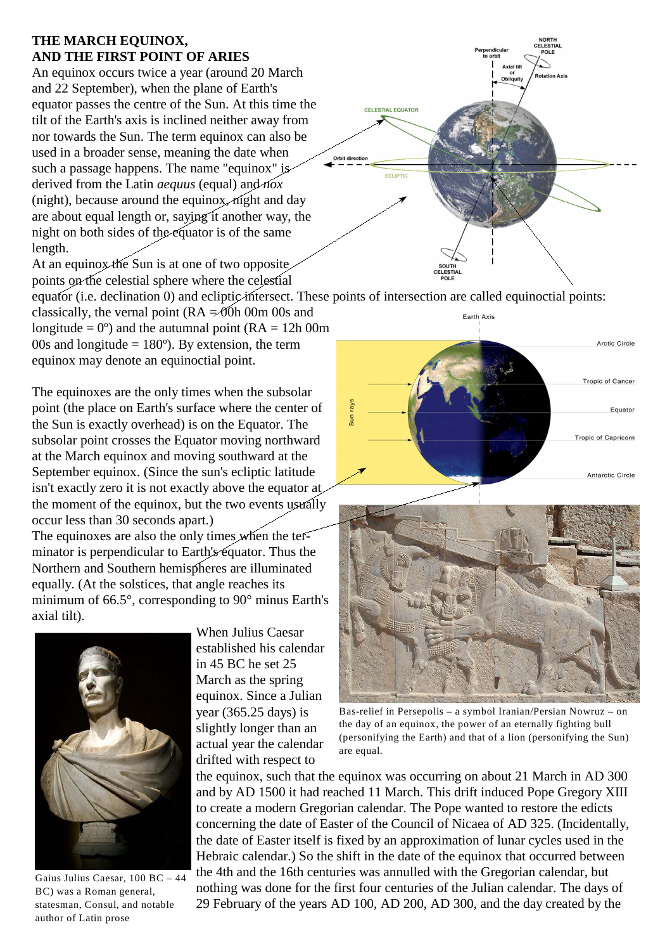## **THE MARCH EQUINOX, AND THE FIRST POINT OF ARIES**

An equinox occurs twice a year (around 20 March and 22 September), when the plane of Earth's equator passes the centre of the Sun. At this time the tilt of the Earth's axis is inclined neither away from nor towards the Sun. The term equinox can also be used in a broader sense, meaning the date when such a passage happens. The name "equinox" is derived from the Latin *aequus* (equal) and *nox* (night), because around the equinox, night and day are about equal length or, saying it another way, the night on both sides of the equator is of the same length.

At an equinox the Sun is at one of two opposite points on the celestial sphere where the celestial equator (i.e. declination 0) and ecliptic intersect. These points of intersection are called equinoctial points: classically, the vernal point ( $RA = 00h$  00m 00s and longitude =  $0^{\circ}$ ) and the autumnal point (RA = 12h 00m 00s and longitude  $= 180^{\circ}$ ). By extension, the term equinox may denote an equinoctial point.

The equinoxes are the only times when the subsolar point (the place on Earth's surface where the center of the Sun is exactly overhead) is on the Equator. The subsolar point crosses the Equator moving northward at the March equinox and moving southward at the September equinox. (Since the sun's ecliptic latitude isn't exactly zero it is not exactly above the equator at the moment of the equinox, but the two events usually occur less than 30 seconds apart.) The equinoxes are also the only times when the ter-

minator is perpendicular to Earth's equator. Thus the Northern and Southern hemispheres are illuminated equally. (At the solstices, that angle reaches its minimum of 66.5°, corresponding to 90° minus Earth's axial tilt).



Gaius Julius Caesar, 100 BC – 44 BC) was a Roman general, statesman, Consul, and notable author of Latin prose

When Julius Caesar established his calendar in 45 BC he set 25 March as the spring equinox. Since a Julian year (365.25 days) is slightly longer than an actual year the calendar drifted with respect to







Bas-relief in Persepolis – a symbol Iranian/Persian Nowruz – on the day of an equinox, the power of an eternally fighting bull (personifying the Earth) and that of a lion (personifying the Sun) are equal.

the equinox, such that the equinox was occurring on about 21 March in AD 300 and by AD 1500 it had reached 11 March. This drift induced Pope Gregory XIII to create a modern Gregorian calendar. The Pope wanted to restore the edicts concerning the date of Easter of the Council of Nicaea of AD 325. (Incidentally, the date of Easter itself is fixed by an approximation of lunar cycles used in the Hebraic calendar.) So the shift in the date of the equinox that occurred between the 4th and the 16th centuries was annulled with the Gregorian calendar, but nothing was done for the first four centuries of the Julian calendar. The days of 29 February of the years AD 100, AD 200, AD 300, and the day created by the